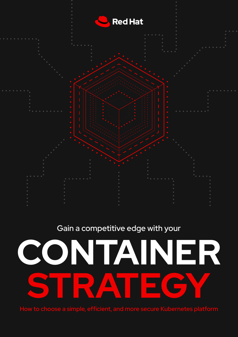

# Gain a competitive edge with your



How to choose a simple, efficient, and more secure Kubernetes platform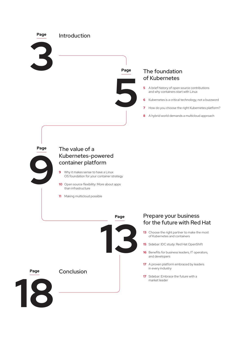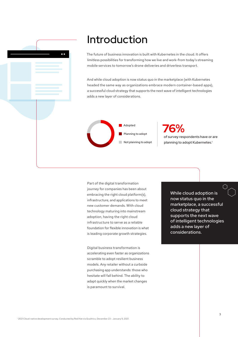<span id="page-2-0"></span>

# Introduction

The future of business innovation is built with Kubernetes in the cloud. It offers limitless possibilities for transforming how we live and work–from today's streaming mobile services to tomorrow's drone deliveries and driverless transport.

And while cloud adoption is now status quo in the marketplace (with Kubernetes headed the same way as organizations embrace modern container-based apps), a successful cloud strategy that supports the next wave of intelligent technologies adds a new layer of considerations.



**76%** of survey respondents have or are planning to adopt Kubernetes.<sup>1</sup>

Part of the digital transformation journey for companies has been about embracing the right cloud platform(s), infrastructure, and applications to meet new customer demands. With cloud technology maturing into mainstream adoption, having the right cloud infrastructure to serve as a reliable foundation for flexible innovation is what is leading corporate growth strategies.

Digital business transformation is accelerating even faster as organizations scramble to adopt resilient business models. Any retailer without a curbside purchasing app understands: those who hesitate will fall behind. The ability to adapt quickly when the market changes is paramount to survival.

While cloud adoption is now status quo in the marketplace, a successful cloud strategy that supports the next wave of intelligent technologies adds a new layer of considerations.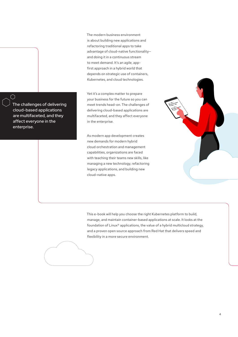The challenges of delivering cloud-based applications are multifaceted, and they affect everyone in the enterprise.

 $\cap$ 

The modern business environment is about building new applications and refactoring traditional apps to take advantage of cloud-native functionality and doing it in a continuous stream to meet demand. It's an agile, appfirst approach in a hybrid world that depends on strategic use of containers, Kubernetes, and cloud technologies.

Yet it's a complex matter to prepare your business for the future so you can meet trends head-on. The challenges of delivering cloud-based applications are multifaceted, and they affect everyone in the enterprise.

As modern app development creates new demands for modern hybrid cloud orchestration and management capabilities, organizations are faced with teaching their teams new skills, like managing a new technology, refactoring legacy applications, and building new cloud-native apps.



This e-book will help you choose the right Kubernetes platform to build, manage, and maintain container-based applications at scale. It looks at the foundation of Linux® applications, the value of a hybrid multicloud strategy, and a proven open source approach from Red Hat that delivers speed and flexibility in a more secure environment.

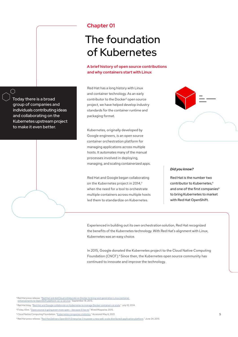# <span id="page-4-0"></span>**Chapter 01**

# The foundation of Kubernetes

## **A brief history of open source contributions and why containers start with Linux**

Red Hat has a long history with Linux and container technology. As an early contributor to the Docker² open source project, we have helped develop industry standards for the container runtime and packaging format.

Kubernetes, originally developed by Google engineers, is an open source container orchestration platform for managing applications across multiple hosts. It automates many of the manual processes involved in deploying, managing, and scaling containerized apps.

Red Hat and Google began collaborating on the Kubernetes project in 2014,<sup>3</sup> when the need for a tool to orchestrate multiple containers across multiple hosts led them to standardize on Kubernetes.

### *Did you know?*

Red Hat is the number two contributor to Kubernetes.<sup>5</sup> and one of the first companies<sup>6</sup> to bring Kubernetes to market with Red Hat OpenShift.

Experienced in building out its own orchestration solution, Red Hat recognized the benefits of the Kubernetes technology. With Red Hat's alignment with Linux, Kubernetes was an easy choice.

In 2015, Google donated the Kubernetes project to the Cloud Native Computing Foundation (CNCF).<sup>4</sup> Since then, the Kubernetes open source community has continued to innovate and improve the technology.





Today there is a broad group of companies and individuals contributing ideas and collaborating on the Kubernetes upstream project

ੋ

² Red Hat press release, ["Red Hat and dotCloud collaborate on Docker to bring next generation Linux container](https://www.redhat.com/en/about/press-releases/red-hat-and-dotcloud-collaborate-on-docker-to-bring-next-generation-linux-container-enhancements-to-openshift)  [enhancements to OpenShift platform-as-a-service."](https://www.redhat.com/en/about/press-releases/red-hat-and-dotcloud-collaborate-on-docker-to-bring-next-generation-linux-container-enhancements-to-openshift) September 19, 2013.

<sup>&</sup>lt;sup>3</sup> Red Hat blog, "<u>Red Hat and Google collaborate on Kubernetes to manage Docker containers at scale.</u>" July 10, 2014.

⁴ Finley, Klint. ["Open source is going even more open – because it has to."](https://www.wired.com/2015/07/open-source-going-even-openbecause/) Wired Magazine, 2015.

<sup>&</sup>lt;sup>5</sup> Cloud Native Computing Foundation. ["Kubernetes companies statistics."](https://k8s.devstats.cncf.io/d/9/companies-table?orgId=1) Accessed May 6, 2021.

⁶ Red Hat press releas[e. "Red Hat Delivers OpenShift Enterprise 3 to power a new web-scale distributed application platform." Ju](https://www.redhat.com/en/about/press-releases/red-hat-delivers-openshift-enterprise-3-power-new-web-scale-distributed-application-platform)ne 24, 2015.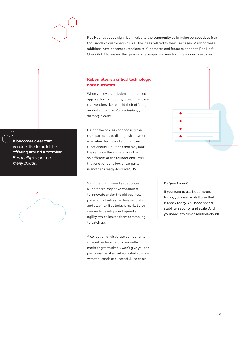

Red Hat has added significant value to the community by bringing perspectives from thousands of customers–plus all the ideas related to their use cases. Many of these additions have become extensions to Kubernetes and features added to Red Hat® OpenShift® to answer the growing challenges and needs of the modern customer.

## **Kubernetes is a critical technology, not a buzzword**

When you evaluate Kubernetes-based app platform solutions, it becomes clear that vendors like to build their offering around a promise: *Run multiple apps on many clouds.*

Part of the process of choosing the right partner is to distinguish between marketing terms and architecture functionality. Solutions that may look the same on the surface are often so different at the foundational level that one vendor's box of car parts is another's ready-to-drive SUV.

Vendors that haven't yet adopted Kubernetes may have continued to innovate under the old business paradigm of infrastructure security and stability. But today's market also demands development speed and agility, which leaves them scrambling to catch up.

A collection of disparate components offered under a catchy umbrella marketing term simply won't give you the performance of a market-tested solution with thousands of successful use cases.

### *Did you know?*

If you want to use Kubernetes today, you need a platform that is ready today. You need speed, stability, security, and scale. And you need it to run on multiple clouds.

It becomes clear that vendors like to build their offering around a promise: *Run multiple apps on many clouds.*

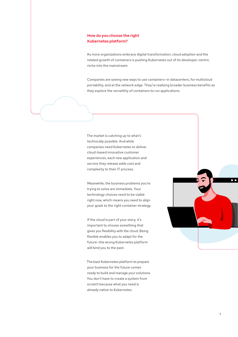## **How do you choose the right Kubernetes platform?**

As more organizations embrace digital transformation, cloud adoption and the related growth of containers is pushing Kubernetes out of its developer-centric niche into the mainstream.

Companies are seeing new ways to use containers—in datacenters, for multicloud portability, and at the network edge. They're realizing broader business benefits as they explore the versatility of containers to run applications.

The market is catching up to what's technically possible. And while companies need Kubernetes to deliver cloud-based innovative customer experiences, each new application and service they release adds cost and complexity to their IT process.

Meanwhile, the business problems you're trying to solve are immediate. Your technology choices need to be viable right now, which means you need to align your goals to the right container strategy.

If the cloud is part of your story, it's important to choose something that gives you flexibility with the cloud. Being flexible enables you to adapt for the future—the wrong Kubernetes platform will bind you to the past.

The best Kubernetes platform to prepare your business for the future comes ready to build and manage your solutions. You don't have to create a system from scratch because what you need is already native to Kubernetes.

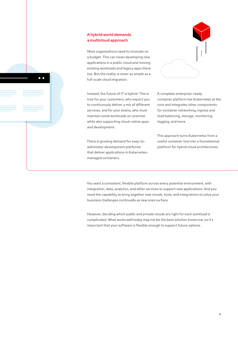## **A hybrid world demands a multicloud approach**

 $\bullet$   $\bullet$ 

Most organizations need to innovate on a budget. This can mean developing new applications in a public cloud and moving existing workloads and legacy apps there too. But the reality is never as simple as a full-scale cloud migration.

Instead, the future of IT is hybrid. This is true for your customers, who expect you to continuously deliver a mix of different services, and for your teams, who must maintain some workloads on-premise while also supporting cloud-native apps and development.

There is growing demand for easy-toadminister development platforms that deliver applications in Kubernetesmanaged containers.

A complete enterprise-ready container platform has Kubernetes at the core and integrates other components for container networking, ingress and load balancing, storage, monitoring, logging, and more.

This approach turns Kubernetes from a useful container tool into a foundational platform for hybrid cloud architectures.

You want a consistent, flexible platform across every potential environment, with integration, data, analytics, and other services to support new applications. And you need the capability to bring together new clouds, tools, and integrations to solve your business challenges continually as new ones surface.

However, deciding which public and private clouds are right for each workload is complicated. What works well today may not be the best solution tomorrow, so it's important that your software is flexible enough to support future options.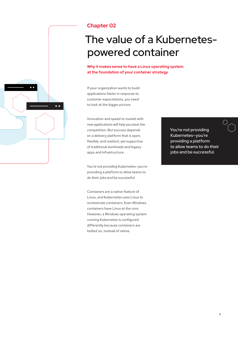<span id="page-8-0"></span>

# **Chapter 02**

# The value of a Kubernetespowered container

**Why it makes sense to have a Linux operating system at the foundation of your container strategy**

If your organization wants to build applications faster in response to customer expectations, you need to look at the bigger picture.

Innovation and speed to market with new applications will help you beat the competition. But success depends on a delivery platform that is open, flexible, and resilient, yet supportive of traditional workloads and legacy apps and infrastructure.

You're not providing Kubernetes—you're providing a platform to allow teams to do their jobs and be successful.

Containers are a native feature of Linux, and Kubernetes uses Linux to orchestrate containers. Even Windows containers have Linux at the core. However, a Windows operating system running Kubernetes is configured differently because containers are bolted on, instead of native.

You're not providing Kubernetes—you're providing a platform to allow teams to do their jobs and be successful.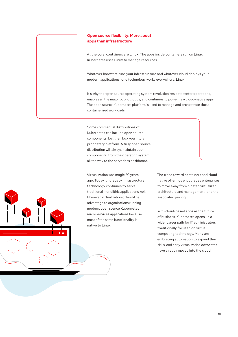## **Open source flexibility: More about apps than infrastructure**

At the core, containers are Linux. The apps inside containers run on Linux. Kubernetes uses Linux to manage resources.

Whatever hardware runs your infrastructure and whatever cloud deploys your modern applications, one technology works everywhere: Linux.

It's why the open source operating system revolutionizes datacenter operations, enables all the major public clouds, and continues to power new cloud-native apps. The open source Kubernetes platform is used to manage and orchestrate those containerized workloads.

Some commercial distributions of Kubernetes can include open source components, but then lock you into a proprietary platform. A truly open source distribution will always maintain open components, from the operating system all the way to the serverless dashboard.

Virtualization was magic 20 years ago. Today, this legacy infrastructure technology continues to serve traditional monolithic applications well. However, virtualization offers little advantage to organizations running modern, open source Kubernetes microservices applications because most of the same functionality is native to Linux.

The trend toward containers and cloudnative offerings encourages enterprises to move away from bloated virtualized architecture and management—and the associated pricing.

With cloud-based apps as the future of business, Kubernetes opens up a wider career path for IT administrators traditionally focused on virtual computing technology. Many are embracing automation to expand their skills, and early virtualization advocates have already moved into the cloud.

 $1<sub>0</sub>$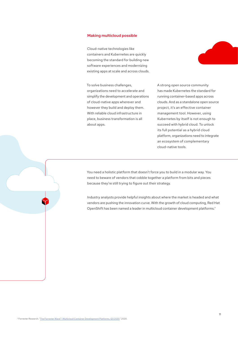#### **Making multicloud possible**

Cloud-native technologies like containers and Kubernetes are quickly becoming the standard for building new software experiences and modernizing existing apps at scale and across clouds.

To solve business challenges, organizations need to accelerate and simplify the development and operations of cloud-native apps wherever and however they build and deploy them. With reliable cloud infrastructure in place, business transformation is all about apps.

A strong open source community has made Kubernetes the standard for running container-based apps across clouds. And as a standalone open source project, it's an effective container management tool. However, using Kubernetes by itself is not enough to succeed with hybrid cloud. To unlock its full potential as a hybrid cloud platform, organizations need to integrate an ecosystem of complementary cloud-native tools.

You need a holistic platform that doesn't force you to build in a modular way. You need to beware of vendors that cobble together a platform from bits and pieces because they're still trying to figure out their strategy.

Industry analysts provide helpful insights about where the market is headed and what vendors are pushing the innovation curve. With the growth of cloud computing, Red Hat OpenShift has been named a leader in multicloud container development platforms.<sup>7</sup>

⁷ Forrester Researc[h. "The Forrester Wave™: Multicloud Container Development Platforms, Q3 2020."](https://www.redhat.com/en/resources/forrester-wave-multicloud-container-platform-analyst-material) 2020.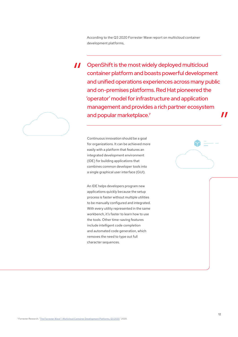According to the Q3 2020 Forrester Wave report on multicloud container development platforms,

OpenShift is the most widely deployed multicloud  $\boldsymbol{\mathit{II}}$ container platform and boasts powerful development and unified operations experiences across many public and on-premises platforms. Red Hat pioneered the 'operator' model for infrastructure and application management and provides a rich partner ecosystem and popular marketplace.<sup>7</sup>

Continuous innovation should be a goal for organizations. It can be achieved more easily with a platform that features an integrated development environment (IDE) for building applications that combines common developer tools into a single graphical user interface (GUI).

An IDE helps developers program new applications quickly because the setup process is faster without multiple utilities to be manually configured and integrated. With every utility represented in the same workbench, it's faster to learn how to use the tools. Other time-saving features include intelligent code completion and automated code generation, which removes the need to type out full character sequences.



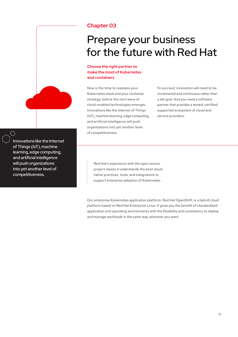<span id="page-12-0"></span>

# **Chapter 03**

# Prepare your business for the future with Red Hat

# **Choose the right partner to make the most of Kubernetes and containers**

Now is the time to reassess your Kubernetes stack and your container strategy, before the next wave of cloud-enabled technologies emerges. Innovations like the Internet of Things (IoT), machine learning, edge computing, and artificial intelligence will push organizations into yet another level of competitiveness.

To succeed, innovation will need to be incremental and continuous rather than a set goal. And you need a software partner that provides a tested, certified, supported ecosystem of cloud and service providers.

Innovations like the Internet of Things (IoT), machine learning, edge computing, and artificial intelligence will push organizations into yet another level of competitiveness.

L

Red Hat's experience with the open source project means it understands the best cloudnative practices, tools, and integrations to support enterprise adoption of Kubernetes.

Our enterprise Kubernetes application platform, Red Hat OpenShift, is a hybrid cloud platform based on Red Hat Enterprise Linux. It gives you the benefit of standardized application and operating environments with the flexibility and consistency to deploy and manage workloads in the same way, wherever you want.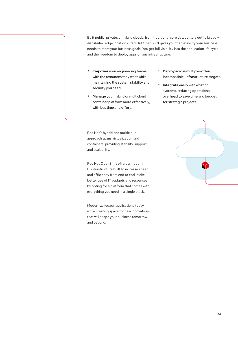Be it public, private, or hybrid clouds, from traditional core datacenters out to broadly distributed edge locations, Red Hat OpenShift gives you the flexibility your business needs to meet your business goals. You get full visibility into the application life cycle and the freedom to deploy apps on any infrastructure.

- • **Empower** your engineering teams with the resources they want while maintaining the system stability and security you need.
- • **Manage** your hybrid or multicloud container platform more effectively, with less time and effort.
- • **Deploy** across multiple–often incompatible–infrastructure targets.
- • **Integrate** easily with existing systems, reducing operational overhead to save time and budget for strategic projects.

Red Hat's hybrid and multicloud approach spans virtualization and containers, providing stability, support, and scalability.

Red Hat OpenShift offers a modern IT infrastructure built to increase speed and efficiency from end to end. Make better use of IT budgets and resources by opting for a platform that comes with everything you need in a single stack.

Modernize legacy applications today while creating space for new innovations that will shape your business tomorrow and beyond.

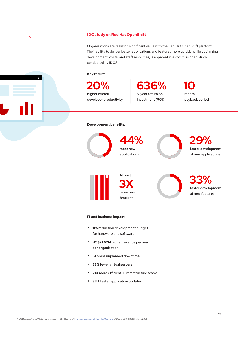### **IDC study on Red Hat OpenShift**

Organizations are realizing significant value with the Red Hat OpenShift platform. Their ability to deliver better applications and features more quickly, while optimizing development, costs, and staff resources, is apparent in a commissioned study conducted by IDC:<sup>8</sup>

#### **Key results:**

**20% 10 636%** higher overall developer productivity

5-year return on investment (ROI) month payback period

### **Development benefits:**



**44%** more new applications





**3X** more new features

**33%** faster development of new features

### **IT and business impact:**

- **11%** reduction development budget for hardware and software
- **US\$21.62M** higher revenue per year per organization
- **61%** less unplanned downtime
- **22%** fewer virtual servers
- • **21%** more efficient IT infrastructure teams
- **33%** faster application updates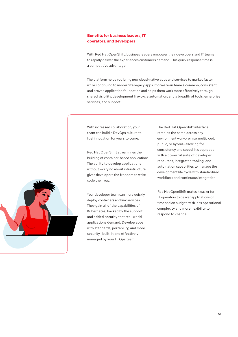## **Benefits for business leaders, IT operators, and developers**

With Red Hat OpenShift, business leaders empower their developers and IT teams to rapidly deliver the experiences customers demand. This quick response time is a competitive advantage.

The platform helps you bring new cloud-native apps and services to market faster while continuing to modernize legacy apps. It gives your team a common, consistent, and proven application foundation and helps them work more effectively through shared visibility, development life-cycle automation, and a breadth of tools, enterprise services, and support.

With increased collaboration, your team can build a DevOps culture to fuel innovation for years to come.

Red Hat OpenShift streamlines the building of container-based applications. The ability to develop applications without worrying about infrastructure gives developers the freedom to write code their way.

Your developer team can more quickly deploy containers and link services. They gain all of the capabilities of Kubernetes, backed by the support and added security that real-world applications demand. Develop apps with standards, portability, and more security—built-in and effectively managed by your IT Ops team.

The Red Hat OpenShift interface remains the same across any environment —on-premise, multicloud, public, or hybrid—allowing for consistency and speed. It's equipped with a powerful suite of developer resources, integrated tooling, and automation capabilities to manage the development life cycle with standardized workflows and continuous integration.

Red Hat OpenShift makes it easier for IT operators to deliver applications on time and on budget, with less operational complexity and more flexibility to respond to change.

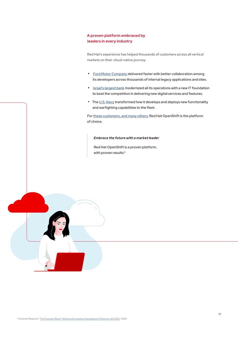## **A proven platform embraced by leaders in every industry**

Red Hat's experience has helped thousands of customers across all vertical markets on their cloud-native journey:

- [Ford Motor Company d](https://www.redhat.com/en/success-stories/ford-motor-company?source=searchresultlisting)elivered faster with better collaboration among its developers across thousands of internal legacy applications and sites.
- [Israel's largest bank m](https://www.redhat.com/en/resources/poalim-bank-case-study?source=searchresultlisting&f%5B0%5D=hybrid_type%3ACase+study&f%5B1%5D=taxonomy_industry_tid%3A551)odernized all its operations with a new IT foundation to beat the competition in delivering new digital services and features.
- T[he U.S. Navy tra](https://www.redhat.com/en/resources/navy-success-snapshot?source=searchresultlisting&f%5B0%5D=hybrid_type%3ACase+study)nsformed how it develops and deploys new functionality and warfighting capabilities to the fleet.

Fo[r these customers, and many others, R](https://www.openshift.com/learn/success-stories/)ed Hat OpenShift is the platform of choice.

*Embrace the future with a market leader*

Red Hat OpenShift is a proven platform, with proven results.<sup>9</sup>